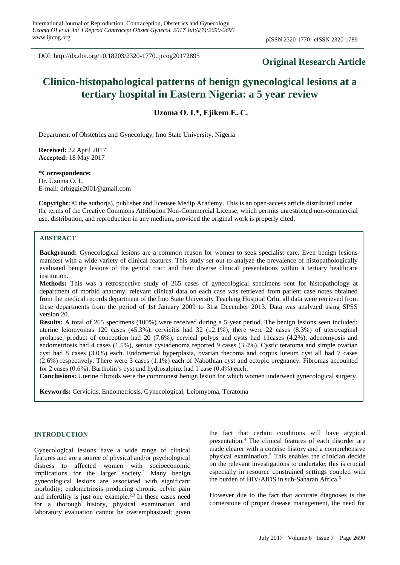DOI: http://dx.doi.org/10.18203/2320-1770.ijrcog20172895

# **Original Research Article**

# **Clinico-histopahological patterns of benign gynecological lesions at a tertiary hospital in Eastern Nigeria: a 5 year review**

**Uzoma O. I.\*, Ejikem E. C.**

Department of Obstetrics and Gynecology, Imo State University, Nigeria

**Received:** 22 April 2017 **Accepted:** 18 May 2017

**\*Correspondence:**

Dr. Uzoma O. I., E-mail: drbiggie2001@gmail.com

**Copyright:** © the author(s), publisher and licensee Medip Academy. This is an open-access article distributed under the terms of the Creative Commons Attribution Non-Commercial License, which permits unrestricted non-commercial use, distribution, and reproduction in any medium, provided the original work is properly cited.

## **ABSTRACT**

**Background:** Gynecological lesions are a common reason for women to seek specialist care. Even benign lesions manifest with a wide variety of clinical features. This study set out to analyze the prevalence of histopathologically evaluated benign lesions of the genital tract and their diverse clinical presentations within a tertiary healthcare institution.

**Methods:** This was a retrospective study of 265 cases of gynecological specimens sent for histopathology at department of morbid anatomy, relevant clinical data on each case was retrieved from patient case notes obtained from the medical records department of the Imo State University Teaching Hospital Orlu, all data were retrieved from these departments from the period of 1st January 2009 to 31st December 2013. Data was analyzed using SPSS version 20.

**Results:** A total of 265 specimens (100%) were received during a 5 year period. The benign lesions seen included; uterine leiomyomas 120 cases (45.3%), cervicitis had 32 (12.1%), there were 22 cases (8.3%) of uterovaginal prolapse, product of conception had 20 (7.6%), cervical polyps and cysts had 11cases (4.2%), adenomyosis and endometriosis had 4 cases (1.5%), serous cystadenoma reported 9 cases (3.4%). Cystic teratoma and simple ovarian cyst had 8 cases (3.0%) each. Endometrial hyperplasia, ovarian thecoma and corpus luteum cyst all had 7 cases (2.6%) respectively. There were 3 cases (1.1%) each of Nabothian cyst and ectopic pregnancy. Fibromas accounted for 2 cases (0.6%). Bartholin's cyst and hydrosalpinx had 1 case (0.4%) each.

**Conclusions:** Uterine fibroids were the commonest benign lesion for which women underwent gynecological surgery.

**Keywords:** Cervicitis, Endometriosis, Gynecological, Leiomyoma, Teratoma

#### **INTRODUCTION**

Gynecological lesions have a wide range of clinical features and are a source of physical and/or psychological distress to affected women with socioeconomic implications for the larger society.<sup>1</sup> Many benign gynecological lesions are associated with significant morbidity; endometriosis producing chronic pelvic pain and infertility is just one example. $2,3$  In these cases need for a thorough history, physical examination and laboratory evaluation cannot be overemphasized; given the fact that certain conditions will have atypical presentation. <sup>4</sup> The clinical features of each disorder are made clearer with a concise history and a comprehensive physical examination.<sup>5</sup> This enables the clinician decide on the relevant investigations to undertake; this is crucial especially in resource constrained settings coupled with the burden of HIV/AIDS in sub-Saharan Africa.<sup>6</sup>

However due to the fact that accurate diagnoses is the cornerstone of proper disease management, the need for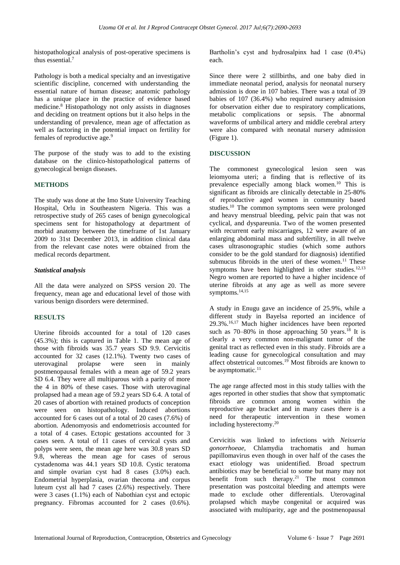histopathological analysis of post-operative specimens is thus essential.<sup>7</sup>

Pathology is both a medical specialty and an investigative scientific discipline, concerned with understanding the essential nature of human disease; anatomic pathology has a unique place in the practice of evidence based medicine.<sup>8</sup> Histopathology not only assists in diagnoses and deciding on treatment options but it also helps in the understanding of prevalence, mean age of affectation as well as factoring in the potential impact on fertility for females of reproductive age.<sup>9</sup>

The purpose of the study was to add to the existing database on the clinico-histopathological patterns of gynecological benign diseases.

### **METHODS**

The study was done at the Imo State University Teaching Hospital, Orlu in Southeastern Nigeria. This was a retrospective study of 265 cases of benign gynecological specimens sent for histopathology at department of morbid anatomy between the timeframe of 1st January 2009 to 31st December 2013, in addition clinical data from the relevant case notes were obtained from the medical records department.

#### *Statistical analysis*

All the data were analyzed on SPSS version 20. The frequency, mean age and educational level of those with various benign disorders were determined.

#### **RESULTS**

Uterine fibroids accounted for a total of 120 cases (45.3%); this is captured in Table 1. The mean age of those with fibroids was 35.7 years SD 9.9. Cervicitis accounted for 32 cases (12.1%). Twenty two cases of uterovaginal prolapse were seen in mainly postmenopausal females with a mean age of 59.2 years SD 6.4. They were all multiparous with a parity of more the 4 in 80% of these cases. Those with uterovaginal prolapsed had a mean age of 59.2 years SD 6.4. A total of 20 cases of abortion with retained products of conception were seen on histopathology. Induced abortions accounted for 6 cases out of a total of 20 cases (7.6%) of abortion. Adenomyosis and endometriosis accounted for a total of 4 cases. Ectopic gestations accounted for 3 cases seen. A total of 11 cases of cervical cysts and polyps were seen, the mean age here was 30.8 years SD 9.8, whereas the mean age for cases of serous cystadenoma was 44.1 years SD 10.8. Cystic teratoma and simple ovarian cyst had 8 cases (3.0%) each. Endometrial hyperplasia, ovarian thecoma and corpus luteum cyst all had 7 cases (2.6%) respectively. There were 3 cases (1.1%) each of Nabothian cyst and ectopic pregnancy. Fibromas accounted for 2 cases (0.6%). Bartholin's cyst and hydrosalpinx had 1 case (0.4%) each.

Since there were 2 stillbirths, and one baby died in immediate neonatal period, analysis for neonatal nursery admission is done in 107 babies. There was a total of 39 babies of 107 (36.4%) who required nursery admission for observation either due to respiratory complications, metabolic complications or sepsis. The abnormal waveforms of umbilical artery and middle cerebral artery were also compared with neonatal nursery admission (Figure 1).

### **DISCUSSION**

The commonest gynecological lesion seen was leiomyoma uteri; a finding that is reflective of its prevalence especially among black women.<sup>10</sup> This is significant as fibroids are clinically detectable in 25-80% of reproductive aged women in community based studies.<sup>10</sup> The common symptoms seen were prolonged and heavy menstrual bleeding, pelvic pain that was not cyclical, and dyspareunia. Two of the women presented with recurrent early miscarriages, 12 were aware of an enlarging abdominal mass and subfertility, in all twelve cases ultrasonographic studies (which some authors consider to be the gold standard for diagnosis) identified submucus fibroids in the uteri of these women.<sup>11</sup> These symptoms have been highlighted in other studies.<sup>12,13</sup> Negro women are reported to have a higher incidence of uterine fibroids at any age as well as more severe symptoms.14,15

A study in Enugu gave an incidence of 25.9%, while a different study in Bayelsa reported an incidence of 29.3%.16,17 Much higher incidences have been reported such as  $70-80\%$  in those approaching 50 years.<sup>18</sup> It is clearly a very common non-malignant tumor of the genital tract as reflected even in this study. Fibroids are a leading cause for gynecological consultation and may affect obstetrical outcomes.<sup>19</sup> Most fibroids are known to be asymptomatic.<sup>11</sup>

The age range affected most in this study tallies with the ages reported in other studies that show that symptomatic fibroids are common among women within the reproductive age bracket and in many cases there is a need for therapeutic intervention in these women including hysterectomy.<sup>20</sup>

Cervicitis was linked to infections with *Neisseria gonorrhoeae*, Chlamydia trachomatis and human papillomavirus even though in over half of the cases the exact etiology was unidentified. Broad spectrum antibiotics may be beneficial to some but many may not benefit from such therapy.<sup>21</sup> The most common presentation was postcoital bleeding and attempts were made to exclude other differentials. Uterovaginal prolapsed which maybe congenital or acquired was associated with multiparity, age and the postmenopausal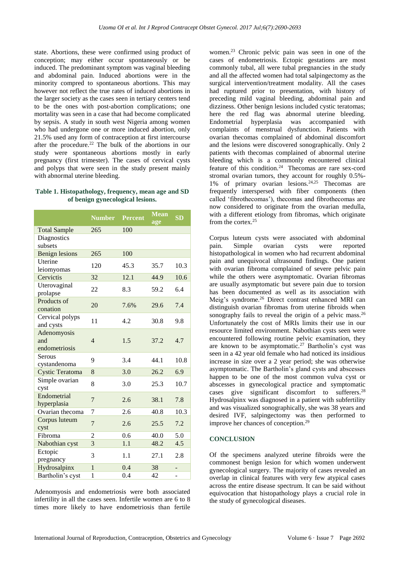state. Abortions, these were confirmed using product of conception; may either occur spontaneously or be induced. The predominant symptom was vaginal bleeding and abdominal pain. Induced abortions were in the minority compred to spontaneous abortions. This may however not reflect the true rates of induced abortions in the larger society as the cases seen in tertiary centers tend to be the ones with post-abortion complications; one mortality was seen in a case that had become complicated by sepsis. A study in south west Nigeria among women who had undergone one or more induced abortion, only 21.5% used any form of contraception at first intercourse after the procedure.<sup>22</sup> The bulk of the abortions in our study were spontaneous abortions mostly in early pregnancy (first trimester). The cases of cervical cysts and polyps that were seen in the study present mainly with abnormal uterine bleeding.

#### **Table 1. Histopathology, frequency, mean age and SD of benign gynecological lesions.**

|                                     | <b>Number</b>  | <b>Percent</b> | <b>Mean</b><br>age | <b>SD</b> |
|-------------------------------------|----------------|----------------|--------------------|-----------|
| <b>Total Sample</b>                 | 265            | 100            |                    |           |
| Diagnostics<br>subsets              |                |                |                    |           |
| <b>Benign lesions</b>               | 265            | 100            |                    |           |
| Uterine<br>leiomyomas               | 120            | 45.3           | 35.7               | 10.3      |
| Cervictis                           | 32             | 12.1           | 44.9               | 10.6      |
| Uterovaginal<br>prolapse            | 22             | 8.3            | 59.2               | 6.4       |
| Products of<br>conation             | 20             | 7.6%           | 29.6               | 7.4       |
| Cervical polyps<br>and cysts        | 11             | 4.2            | 30.8               | 9.8       |
| Adenomyosis<br>and<br>endometriosis | $\overline{4}$ | 1.5            | 37.2               | 4.7       |
| Serous                              |                |                |                    |           |
| cystandenoma                        | 9              | 3.4            | 44.1               | 10.8      |
| <b>Cystic Teratoma</b>              | 8              | 3.0            | 26.2               | 6.9       |
| Simple ovarian<br>cyst              | 8              | 3.0            | 25.3               | 10.7      |
| Endometrial<br>hyperplasia          | $\overline{7}$ | 2.6            | 38.1               | 7.8       |
| Ovarian thecoma                     | 7              | 2.6            | 40.8               | 10.3      |
| Corpus luteum<br>cyst               | 7              | 2.6            | 25.5               | 7.2       |
| Fibroma                             | $\overline{2}$ | 0.6            | 40.0               | 5.0       |
| Nabothian cyst                      | $\overline{3}$ | 1.1            | 48.2               | 4.5       |
| Ectopic<br>pregnancy                | 3              | 1.1            | 27.1               | 2.8       |
| Hydrosalpinx                        | $\mathbf{1}$   | 0.4            | 38                 | -         |
| Bartholin's cyst                    | $\mathbf{1}$   | 0.4            | 42                 |           |

Adenomyosis and endometriosis were both associated infertility in all the cases seen. Infertile women are 6 to 8 times more likely to have endometriosis than fertile

women. <sup>23</sup> Chronic pelvic pain was seen in one of the cases of endometriosis. Ectopic gestations are most commonly tubal, all were tubal pregnancies in the study and all the affected women had total salpingectomy as the surgical intervention/treatment modality. All the cases had ruptured prior to presentation, with history of preceding mild vaginal bleeding, abdominal pain and dizziness. Other benign lesions included cystic teratomas; here the red flag was abnormal uterine bleeding. Endometrial hyperplasia was accompanied with complaints of menstrual dysfunction. Patients with ovarian thecomas complained of abdominal discomfort and the lesions were discovered sonographically. Only 2 patients with thecomas complained of abnormal uterine bleeding which is a commonly encountered clinical feature of this condition.<sup>24</sup> Thecomas are rare sex-cord stromal ovarian tumors, they account for roughly 0.5%- 1% of primary ovarian lesions. $24,25$  Thecomas are frequently interspersed with fiber components (then called 'fibrothecomas'), thecomas and fibrothecomas are now considered to originate from the ovarian medulla, with a different etiology from fibromas, which originate from the cortex.<sup>25</sup>

Corpus luteum cysts were associated with abdominal pain. Simple ovarian cysts were reported histopathological in women who had recurrent abdominal pain and unequivocal ultrasound findings. One patient with ovarian fibroma complained of severe pelvic pain while the others were asymptomatic. Ovarian fibromas are usually asymptomatic but severe pain due to torsion has been documented as well as its association with Meig's syndrome.<sup>26</sup> Direct contrast enhanced MRI can distinguish ovarian fibromas from uterine fibroids when sonography fails to reveal the origin of a pelvic mass.<sup>26</sup> Unfortunately the cost of MRIs limits their use in our resource limited environment. Nabothian cysts seen were encountered following routine pelvic examination, they are known to be asymptomatic.<sup>27</sup> Bartholin's cyst was seen in a 42 year old female who had noticed its insidious increase in size over a 2 year period; she was otherwise asymptomatic. The Bartholin's gland cysts and abscesses happen to be one of the most common vulva cyst or abscesses in gynecological practice and symptomatic cases give significant discomfort to sufferers.<sup>28</sup> Hydrosalpinx was diagnosed in a patient with subfertility and was visualized sonographically, she was 38 years and desired IVF, salpingectomy was then performed to improve her chances of conception.<sup>29</sup>

#### **CONCLUSION**

Of the specimens analyzed uterine fibroids were the commonest benign lesion for which women underwent gynecological surgery. The majority of cases revealed an overlap in clinical features with very few atypical cases across the entire disease spectrum. It can be said without equivocation that histopathology plays a crucial role in the study of gynecological diseases.